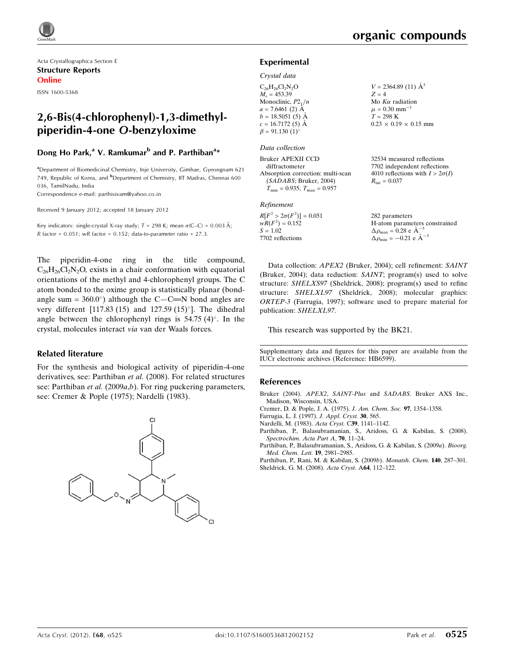Acta Crystallographica Section E Structure Reports Online

ISSN 1600-5368

# 2,6-Bis(4-chlorophenyl)-1,3-dimethylpiperidin-4-one O-benzyloxime

# Dong Ho Park,<sup>a</sup> V. Ramkumar<sup>b</sup> and P. Parthiban<sup>a</sup>\*

<sup>a</sup> Department of Biomedicinal Chemistry, Inje University, Gimhae, Gyeongnam 621 749, Republic of Korea, and <sup>b</sup>Department of Chemistry, IIT Madras, Chennai 600 036, TamilNadu, India

Correspondence e-mail: [parthisivam@yahoo.co.in](http://scripts.iucr.org/cgi-bin/cr.cgi?rm=pdfbb&cnor=hb6599&bbid=BB8)

Received 9 January 2012; accepted 18 January 2012

Key indicators: single-crystal X-ray study;  $T = 298$  K; mean  $\sigma$ (C–C) = 0.003 Å; R factor =  $0.051$ ; wR factor =  $0.152$ ; data-to-parameter ratio =  $27.3$ .

The piperidin-4-one ring in the title compound,  $C_{26}H_{26}Cl_2N_2O$ , exists in a chair conformation with equatorial orientations of the methyl and 4-chlorophenyl groups. The C atom bonded to the oxime group is statistically planar (bondangle sum =  $360.0^{\circ}$ ) although the C-C=N bond angles are very different  $[117.83 (15)$  and  $127.59 (15)$ <sup>o</sup>]. The dihedral angle between the chlorophenyl rings is  $54.75 (4)^\circ$ . In the crystal, molecules interact via van der Waals forces.

# Related literature

For the synthesis and biological activity of piperidin-4-one derivatives, see: Parthiban et al. (2008). For related structures see: Parthiban et al. (2009a,b). For ring puckering parameters, see: Cremer & Pople (1975); Nardelli (1983).



# Experimental

#### Crystal data

| $V = 2364.89(11)$ $\AA^3$              |
|----------------------------------------|
| $Z = 4$                                |
| Mo $K\alpha$ radiation                 |
| $\mu = 0.30$ mm <sup>-1</sup>          |
| $T = 298 \text{ K}$                    |
| $0.23 \times 0.19 \times 0.15$ mm      |
|                                        |
|                                        |
| 32534 measured reflections             |
| 7702 independent reflections           |
| 4010 reflections with $I > 2\sigma(I)$ |
| $R_{\rm int} = 0.037$                  |
|                                        |

(SADABS; Bruker, 2004)  $T_{\text{min}} = 0.935, T_{\text{max}} = 0.957$ 

#### Refinement

 $R[F^2 > 2\sigma(F^2)] = 0.051$  $wR(F^2) = 0.152$  $S = 1.02$ 7702 reflections

282 parameters H-atom parameters constrained  $\Delta \rho_{\text{max}} = 0.28 \text{ e A}^{-3}$  $\Delta \rho_{\rm min} = -0.21 \text{ e } \text{\AA}^{-3}$ 

Data collection: APEX2 (Bruker, 2004); cell refinement: SAINT (Bruker, 2004); data reduction: SAINT; program(s) used to solve structure: SHELXS97 (Sheldrick, 2008); program(s) used to refine structure: SHELXL97 (Sheldrick, 2008); molecular graphics: ORTEP-3 (Farrugia, 1997); software used to prepare material for publication: SHELXL97.

This research was supported by the BK21.

Supplementary data and figures for this paper are available from the IUCr electronic archives (Reference: HB6599).

#### References

- Bruker (2004). APEX2, SAINT-Plus and SADABS[. Bruker AXS Inc.,](http://scripts.iucr.org/cgi-bin/cr.cgi?rm=pdfbb&cnor=hb6599&bbid=BB1) [Madison, Wisconsin, USA.](http://scripts.iucr.org/cgi-bin/cr.cgi?rm=pdfbb&cnor=hb6599&bbid=BB1)
- [Cremer, D. & Pople, J. A. \(1975\).](http://scripts.iucr.org/cgi-bin/cr.cgi?rm=pdfbb&cnor=hb6599&bbid=BB2) J. Am. Chem. Soc. 97, 1354–1358.
- [Farrugia, L. J. \(1997\).](http://scripts.iucr.org/cgi-bin/cr.cgi?rm=pdfbb&cnor=hb6599&bbid=BB3) J. Appl. Cryst. 30, 565.
- [Nardelli, M. \(1983\).](http://scripts.iucr.org/cgi-bin/cr.cgi?rm=pdfbb&cnor=hb6599&bbid=BB4) Acta Cryst. C39, 1141–1142.
- [Parthiban, P., Balasubramanian, S., Aridoss, G. & Kabilan, S. \(2008\).](http://scripts.iucr.org/cgi-bin/cr.cgi?rm=pdfbb&cnor=hb6599&bbid=BB5) [Spectrochim. Acta Part A](http://scripts.iucr.org/cgi-bin/cr.cgi?rm=pdfbb&cnor=hb6599&bbid=BB5), 70, 11–24.
- [Parthiban, P., Balasubramanian, S., Aridoss, G. & Kabilan, S. \(2009](http://scripts.iucr.org/cgi-bin/cr.cgi?rm=pdfbb&cnor=hb6599&bbid=BB6)a). Bioorg. [Med. Chem. Lett.](http://scripts.iucr.org/cgi-bin/cr.cgi?rm=pdfbb&cnor=hb6599&bbid=BB6) 19, 2981–2985.

[Parthiban, P., Rani, M. & Kabilan, S. \(2009](http://scripts.iucr.org/cgi-bin/cr.cgi?rm=pdfbb&cnor=hb6599&bbid=BB7)b). Monatsh. Chem. 140, 287–301. [Sheldrick, G. M. \(2008\).](http://scripts.iucr.org/cgi-bin/cr.cgi?rm=pdfbb&cnor=hb6599&bbid=BB8) Acta Cryst. A64, 112–122.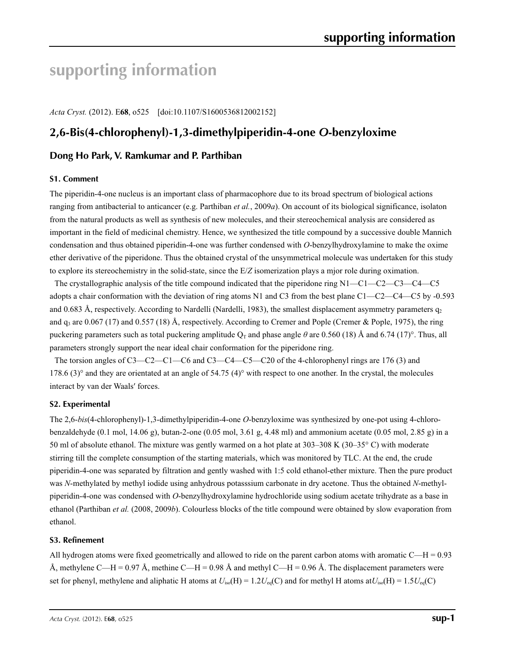# **supporting information**

*Acta Cryst.* (2012). E**68**, o525 [doi:10.1107/S1600536812002152]

# **2,6-Bis(4-chlorophenyl)-1,3-dimethylpiperidin-4-one** *O***-benzyloxime**

# **Dong Ho Park, V. Ramkumar and P. Parthiban**

### **S1. Comment**

The piperidin-4-one nucleus is an important class of pharmacophore due to its broad spectrum of biological actions ranging from antibacterial to anticancer (e.g. Parthiban *et al.*, 2009*a*). On account of its biological significance, isolaton from the natural products as well as synthesis of new molecules, and their stereochemical analysis are considered as important in the field of medicinal chemistry. Hence, we synthesized the title compound by a successive double Mannich condensation and thus obtained piperidin-4-one was further condensed with *O*-benzylhydroxylamine to make the oxime ether derivative of the piperidone. Thus the obtained crystal of the unsymmetrical molecule was undertaken for this study to explore its stereochemistry in the solid-state, since the E/*Z* isomerization plays a mjor role during oximation.

The crystallographic analysis of the title compound indicated that the piperidone ring N1—C1—C2—C3—C4—C5 adopts a chair conformation with the deviation of ring atoms N1 and C3 from the best plane C1—C2—C4—C5 by -0.593 and 0.683 Å, respectively. According to Nardelli (Nardelli, 1983), the smallest displacement asymmetry parameters  $q_2$ and  $q_3$  are 0.067 (17) and 0.557 (18) Å, respectively. According to Cremer and Pople (Cremer & Pople, 1975), the ring puckering parameters such as total puckering amplitude  $Q_T$  and phase angle  $\theta$  are 0.560 (18) Å and 6.74 (17)°. Thus, all parameters strongly support the near ideal chair conformation for the piperidone ring.

The torsion angles of C3—C2—C1—C6 and C3—C4—C5—C20 of the 4-chlorophenyl rings are 176 (3) and 178.6 (3)° and they are orientated at an angle of 54.75 (4)° with respect to one another. In the crystal, the molecules interact by van der Waals′ forces.

# **S2. Experimental**

The 2,6-*bis*(4-chlorophenyl)-1,3-dimethylpiperidin-4-one *O*-benzyloxime was synthesized by one-pot using 4-chlorobenzaldehyde (0.1 mol, 14.06 g), butan-2-one (0.05 mol, 3.61 g, 4.48 ml) and ammonium acetate (0.05 mol, 2.85 g) in a 50 ml of absolute ethanol. The mixture was gently warmed on a hot plate at 303–308 K (30–35° C) with moderate stirring till the complete consumption of the starting materials, which was monitored by TLC. At the end, the crude piperidin-4-one was separated by filtration and gently washed with 1:5 cold ethanol-ether mixture. Then the pure product was *N*-methylated by methyl iodide using anhydrous potasssium carbonate in dry acetone. Thus the obtained *N*-methylpiperidin-4-one was condensed with *O*-benzylhydroxylamine hydrochloride using sodium acetate trihydrate as a base in ethanol (Parthiban *et al.* (2008, 2009*b*). Colourless blocks of the title compound were obtained by slow evaporation from ethanol.

# **S3. Refinement**

All hydrogen atoms were fixed geometrically and allowed to ride on the parent carbon atoms with aromatic  $C-H = 0.93$ Å, methylene C—H = 0.97 Å, methine C—H = 0.98 Å and methyl C—H = 0.96 Å. The displacement parameters were set for phenyl, methylene and aliphatic H atoms at  $U_{iso}(H) = 1.2U_{eq}(C)$  and for methyl H atoms at  $U_{iso}(H) = 1.5U_{eq}(C)$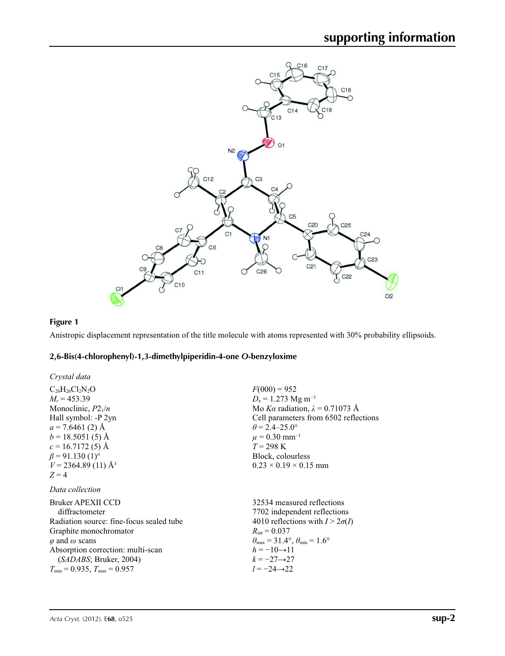

# **Figure 1**

Anistropic displacement representation of the title molecule with atoms represented with 30% probability ellipsoids.

# **2,6-Bis(4-chlorophenyl)-1,3-dimethylpiperidin-4-one** *O***-benzyloxime**

| Crystal data                             |                                                                         |
|------------------------------------------|-------------------------------------------------------------------------|
| $C_{26}H_{26}Cl_2N_2O$                   | $F(000) = 952$                                                          |
| $M_r = 453.39$                           | $D_x = 1.273$ Mg m <sup>-3</sup>                                        |
| Monoclinic, $P2_1/n$                     | Mo Ka radiation, $\lambda = 0.71073$ Å                                  |
| Hall symbol: -P 2yn                      | Cell parameters from 6502 reflections                                   |
| $a = 7.6461$ (2) Å                       | $\theta$ = 2.4–25.0°                                                    |
| $b = 18.5051(5)$ Å                       | $\mu = 0.30$ mm <sup>-1</sup>                                           |
| $c = 16.7172(5)$ Å                       | $T = 298 \text{ K}$                                                     |
| $\beta$ = 91.130 (1) <sup>o</sup>        | Block, colourless                                                       |
| $V = 2364.89(11)$ Å <sup>3</sup>         | $0.23 \times 0.19 \times 0.15$ mm                                       |
| $Z=4$                                    |                                                                         |
| Data collection                          |                                                                         |
| Bruker APEXII CCD                        | 32534 measured reflections                                              |
| diffractometer                           | 7702 independent reflections                                            |
| Radiation source: fine-focus sealed tube | 4010 reflections with $I > 2\sigma(I)$                                  |
| Graphite monochromator                   | $R_{\rm int} = 0.037$                                                   |
| $\varphi$ and $\omega$ scans             | $\theta_{\text{max}} = 31.4^{\circ}, \theta_{\text{min}} = 1.6^{\circ}$ |
| Absorption correction: multi-scan        | $h = -10 \rightarrow 11$                                                |
| (SADABS; Bruker, 2004)                   | $k = -27 \rightarrow 27$                                                |
| $T_{\min} = 0.935$ , $T_{\max} = 0.957$  | $l = -24 \rightarrow 22$                                                |
|                                          |                                                                         |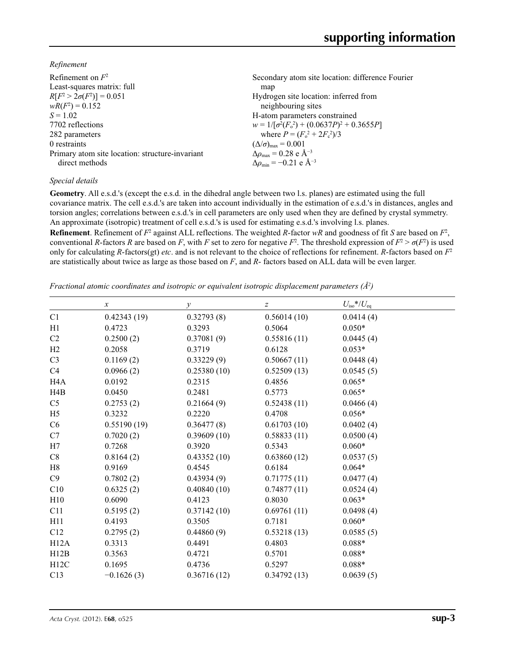*Refinement*

| Refinement on $F^2$                             | Secondary atom site location: difference Fourier   |
|-------------------------------------------------|----------------------------------------------------|
| Least-squares matrix: full                      | map                                                |
| $R[F^2 > 2\sigma(F^2)] = 0.051$                 | Hydrogen site location: inferred from              |
| $wR(F^2) = 0.152$                               | neighbouring sites                                 |
| $S = 1.02$                                      | H-atom parameters constrained                      |
| 7702 reflections                                | $w = 1/[\sigma^2(F_0^2) + (0.0637P)^2 + 0.3655P]$  |
| 282 parameters                                  | where $P = (F_o^2 + 2F_c^2)/3$                     |
| 0 restraints                                    | $(\Delta/\sigma)_{\text{max}} = 0.001$             |
| Primary atom site location: structure-invariant | $\Delta\rho_{\text{max}} = 0.28$ e Å <sup>-3</sup> |
| direct methods                                  | $\Delta \rho_{\rm min} = -0.21$ e Å <sup>-3</sup>  |
|                                                 |                                                    |

# *Special details*

**Geometry**. All e.s.d.'s (except the e.s.d. in the dihedral angle between two l.s. planes) are estimated using the full covariance matrix. The cell e.s.d.'s are taken into account individually in the estimation of e.s.d.'s in distances, angles and torsion angles; correlations between e.s.d.'s in cell parameters are only used when they are defined by crystal symmetry. An approximate (isotropic) treatment of cell e.s.d.'s is used for estimating e.s.d.'s involving l.s. planes.

**Refinement**. Refinement of  $F^2$  against ALL reflections. The weighted *R*-factor  $wR$  and goodness of fit *S* are based on  $F^2$ , conventional *R*-factors *R* are based on *F*, with *F* set to zero for negative *F*<sup>2</sup>. The threshold expression of  $F^2 > \sigma(F^2)$  is used only for calculating *R*-factors(gt) *etc*. and is not relevant to the choice of reflections for refinement. *R*-factors based on *F*<sup>2</sup> are statistically about twice as large as those based on *F*, and *R*- factors based on ALL data will be even larger.

*Fractional atomic coordinates and isotropic or equivalent isotropic displacement parameters (Å2 )*

|                  | $\boldsymbol{x}$ | $\mathcal{Y}$ | z           | $U_{\rm iso}*/U_{\rm eq}$ |  |
|------------------|------------------|---------------|-------------|---------------------------|--|
| C1               | 0.42343(19)      | 0.32793(8)    | 0.56014(10) | 0.0414(4)                 |  |
| H1               | 0.4723           | 0.3293        | 0.5064      | $0.050*$                  |  |
| C2               | 0.2500(2)        | 0.37081(9)    | 0.55816(11) | 0.0445(4)                 |  |
| H2               | 0.2058           | 0.3719        | 0.6128      | $0.053*$                  |  |
| C <sub>3</sub>   | 0.1169(2)        | 0.33229(9)    | 0.50667(11) | 0.0448(4)                 |  |
| C4               | 0.0966(2)        | 0.25380(10)   | 0.52509(13) | 0.0545(5)                 |  |
| H <sub>4</sub> A | 0.0192           | 0.2315        | 0.4856      | $0.065*$                  |  |
| H4B              | 0.0450           | 0.2481        | 0.5773      | $0.065*$                  |  |
| C <sub>5</sub>   | 0.2753(2)        | 0.21664(9)    | 0.52438(11) | 0.0466(4)                 |  |
| H <sub>5</sub>   | 0.3232           | 0.2220        | 0.4708      | $0.056*$                  |  |
| C6               | 0.55190(19)      | 0.36477(8)    | 0.61703(10) | 0.0402(4)                 |  |
| C7               | 0.7020(2)        | 0.39609(10)   | 0.58833(11) | 0.0500(4)                 |  |
| H7               | 0.7268           | 0.3920        | 0.5343      | $0.060*$                  |  |
| C8               | 0.8164(2)        | 0.43352(10)   | 0.63860(12) | 0.0537(5)                 |  |
| H8               | 0.9169           | 0.4545        | 0.6184      | $0.064*$                  |  |
| C9               | 0.7802(2)        | 0.43934(9)    | 0.71775(11) | 0.0477(4)                 |  |
| C10              | 0.6325(2)        | 0.40840(10)   | 0.74877(11) | 0.0524(4)                 |  |
| H10              | 0.6090           | 0.4123        | 0.8030      | $0.063*$                  |  |
| C11              | 0.5195(2)        | 0.37142(10)   | 0.69761(11) | 0.0498(4)                 |  |
| H11              | 0.4193           | 0.3505        | 0.7181      | $0.060*$                  |  |
| C12              | 0.2795(2)        | 0.44860(9)    | 0.53218(13) | 0.0585(5)                 |  |
| H12A             | 0.3313           | 0.4491        | 0.4803      | $0.088*$                  |  |
| H12B             | 0.3563           | 0.4721        | 0.5701      | $0.088*$                  |  |
| H12C             | 0.1695           | 0.4736        | 0.5297      | $0.088*$                  |  |
| C13              | $-0.1626(3)$     | 0.36716(12)   | 0.34792(13) | 0.0639(5)                 |  |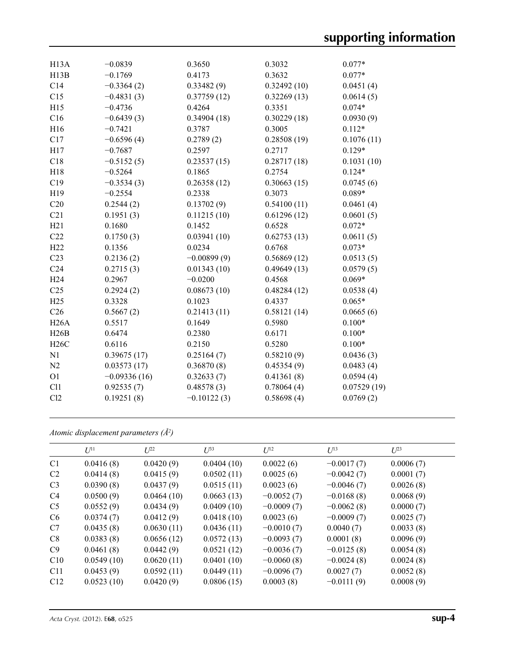| H13B<br>C14     | $-0.1769$<br>$-0.3364(2)$<br>$-0.4831(3)$ | 0.4173<br>0.33482(9) | 0.3032<br>0.3632<br>0.32492(10) | $0.077*$    |
|-----------------|-------------------------------------------|----------------------|---------------------------------|-------------|
|                 |                                           |                      |                                 |             |
|                 |                                           |                      |                                 | 0.0451(4)   |
| C15             |                                           | 0.37759(12)          | 0.32269(13)                     | 0.0614(5)   |
| H15             | $-0.4736$                                 | 0.4264               | 0.3351                          | $0.074*$    |
| C16             | $-0.6439(3)$                              | 0.34904(18)          | 0.30229(18)                     | 0.0930(9)   |
| H16             | $-0.7421$                                 | 0.3787               | 0.3005                          | $0.112*$    |
| C17             | $-0.6596(4)$                              | 0.2789(2)            | 0.28508(19)                     | 0.1076(11)  |
| H17             | $-0.7687$                                 | 0.2597               | 0.2717                          | $0.129*$    |
| C18             | $-0.5152(5)$                              | 0.23537(15)          | 0.28717(18)                     | 0.1031(10)  |
| H18             | $-0.5264$                                 | 0.1865               | 0.2754                          | $0.124*$    |
| C19             | $-0.3534(3)$                              | 0.26358(12)          | 0.30663(15)                     | 0.0745(6)   |
| H19             | $-0.2554$                                 | 0.2338               | 0.3073                          | $0.089*$    |
| C20             | 0.2544(2)                                 | 0.13702(9)           | 0.54100(11)                     | 0.0461(4)   |
| C21             | 0.1951(3)                                 | 0.11215(10)          | 0.61296(12)                     | 0.0601(5)   |
| H21             | 0.1680                                    | 0.1452               | 0.6528                          | $0.072*$    |
| C22             | 0.1750(3)                                 | 0.03941(10)          | 0.62753(13)                     | 0.0611(5)   |
| H22             | 0.1356                                    | 0.0234               | 0.6768                          | $0.073*$    |
| C <sub>23</sub> | 0.2136(2)                                 | $-0.00899(9)$        | 0.56869(12)                     | 0.0513(5)   |
| C <sub>24</sub> | 0.2715(3)                                 | 0.01343(10)          | 0.49649(13)                     | 0.0579(5)   |
| H <sub>24</sub> | 0.2967                                    | $-0.0200$            | 0.4568                          | $0.069*$    |
| C <sub>25</sub> | 0.2924(2)                                 | 0.08673(10)          | 0.48284(12)                     | 0.0538(4)   |
| H25             | 0.3328                                    | 0.1023               | 0.4337                          | $0.065*$    |
| C <sub>26</sub> | 0.5667(2)                                 | 0.21413(11)          | 0.58121(14)                     | 0.0665(6)   |
| H26A            | 0.5517                                    | 0.1649               | 0.5980                          | $0.100*$    |
| H26B            | 0.6474                                    | 0.2380               | 0.6171                          | $0.100*$    |
| H26C            | 0.6116                                    | 0.2150               | 0.5280                          | $0.100*$    |
| N1              | 0.39675(17)                               | 0.25164(7)           | 0.58210(9)                      | 0.0436(3)   |
| N2              | 0.03573(17)                               | 0.36870(8)           | 0.45354(9)                      | 0.0483(4)   |
| O <sub>1</sub>  | $-0.09336(16)$                            | 0.32633(7)           | 0.41361(8)                      | 0.0594(4)   |
| Cl1             | 0.92535(7)                                | 0.48578(3)           | 0.78064(4)                      | 0.07529(19) |
| Cl2             | 0.19251(8)                                | $-0.10122(3)$        | 0.58698(4)                      | 0.0769(2)   |

*Atomic displacement parameters (Å2 )*

|                | $U^{11}$   | $L^{22}$   | $U^{33}$   | $U^{12}$     | $U^{13}$     | $U^{23}$  |
|----------------|------------|------------|------------|--------------|--------------|-----------|
| C <sub>1</sub> | 0.0416(8)  | 0.0420(9)  | 0.0404(10) | 0.0022(6)    | $-0.0017(7)$ | 0.0006(7) |
| C <sub>2</sub> | 0.0414(8)  | 0.0415(9)  | 0.0502(11) | 0.0025(6)    | $-0.0042(7)$ | 0.0001(7) |
| C <sub>3</sub> | 0.0390(8)  | 0.0437(9)  | 0.0515(11) | 0.0023(6)    | $-0.0046(7)$ | 0.0026(8) |
| C <sub>4</sub> | 0.0500(9)  | 0.0464(10) | 0.0663(13) | $-0.0052(7)$ | $-0.0168(8)$ | 0.0068(9) |
| C <sub>5</sub> | 0.0552(9)  | 0.0434(9)  | 0.0409(10) | $-0.0009(7)$ | $-0.0062(8)$ | 0.0000(7) |
| C <sub>6</sub> | 0.0374(7)  | 0.0412(9)  | 0.0418(10) | 0.0023(6)    | $-0.0009(7)$ | 0.0025(7) |
| C7             | 0.0435(8)  | 0.0630(11) | 0.0436(11) | $-0.0010(7)$ | 0.0040(7)    | 0.0033(8) |
| C8             | 0.0383(8)  | 0.0656(12) | 0.0572(13) | $-0.0093(7)$ | 0.0001(8)    | 0.0096(9) |
| C9             | 0.0461(8)  | 0.0442(9)  | 0.0521(12) | $-0.0036(7)$ | $-0.0125(8)$ | 0.0054(8) |
| C10            | 0.0549(10) | 0.0620(11) | 0.0401(10) | $-0.0060(8)$ | $-0.0024(8)$ | 0.0024(8) |
| C11            | 0.0453(9)  | 0.0592(11) | 0.0449(11) | $-0.0096(7)$ | 0.0027(7)    | 0.0052(8) |
| C12            | 0.0523(10) | 0.0420(9)  | 0.0806(15) | 0.0003(8)    | $-0.0111(9)$ | 0.0008(9) |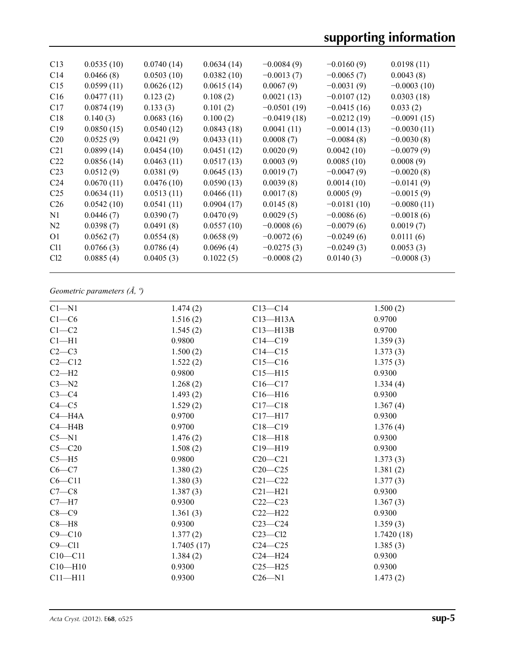| C13             | 0.0535(10) | 0.0740(14) | 0.0634(14) | $-0.0084(9)$  | $-0.0160(9)$  | 0.0198(11)    |
|-----------------|------------|------------|------------|---------------|---------------|---------------|
| C14             | 0.0466(8)  | 0.0503(10) | 0.0382(10) | $-0.0013(7)$  | $-0.0065(7)$  | 0.0043(8)     |
| C15             | 0.0599(11) | 0.0626(12) | 0.0615(14) | 0.0067(9)     | $-0.0031(9)$  | $-0.0003(10)$ |
| C16             | 0.0477(11) | 0.123(2)   | 0.108(2)   | 0.0021(13)    | $-0.0107(12)$ | 0.0303(18)    |
| C17             | 0.0874(19) | 0.133(3)   | 0.101(2)   | $-0.0501(19)$ | $-0.0415(16)$ | 0.033(2)      |
| C18             | 0.140(3)   | 0.0683(16) | 0.100(2)   | $-0.0419(18)$ | $-0.0212(19)$ | $-0.0091(15)$ |
| C19             | 0.0850(15) | 0.0540(12) | 0.0843(18) | 0.0041(11)    | $-0.0014(13)$ | $-0.0030(11)$ |
| C <sub>20</sub> | 0.0525(9)  | 0.0421(9)  | 0.0433(11) | 0.0008(7)     | $-0.0084(8)$  | $-0.0030(8)$  |
| C <sub>21</sub> | 0.0899(14) | 0.0454(10) | 0.0451(12) | 0.0020(9)     | 0.0042(10)    | $-0.0079(9)$  |
| C <sub>22</sub> | 0.0856(14) | 0.0463(11) | 0.0517(13) | 0.0003(9)     | 0.0085(10)    | 0.0008(9)     |
| C <sub>23</sub> | 0.0512(9)  | 0.0381(9)  | 0.0645(13) | 0.0019(7)     | $-0.0047(9)$  | $-0.0020(8)$  |
| C <sub>24</sub> | 0.0670(11) | 0.0476(10) | 0.0590(13) | 0.0039(8)     | 0.0014(10)    | $-0.0141(9)$  |
| C <sub>25</sub> | 0.0634(11) | 0.0513(11) | 0.0466(11) | 0.0017(8)     | 0.0005(9)     | $-0.0015(9)$  |
| C <sub>26</sub> | 0.0542(10) | 0.0541(11) | 0.0904(17) | 0.0145(8)     | $-0.0181(10)$ | $-0.0080(11)$ |
| N1              | 0.0446(7)  | 0.0390(7)  | 0.0470(9)  | 0.0029(5)     | $-0.0086(6)$  | $-0.0018(6)$  |
| N <sub>2</sub>  | 0.0398(7)  | 0.0491(8)  | 0.0557(10) | $-0.0008(6)$  | $-0.0079(6)$  | 0.0019(7)     |
| O <sub>1</sub>  | 0.0562(7)  | 0.0554(8)  | 0.0658(9)  | $-0.0072(6)$  | $-0.0249(6)$  | 0.0111(6)     |
| C <sub>11</sub> | 0.0766(3)  | 0.0786(4)  | 0.0696(4)  | $-0.0275(3)$  | $-0.0249(3)$  | 0.0053(3)     |
| Cl <sub>2</sub> | 0.0885(4)  | 0.0405(3)  | 0.1022(5)  | $-0.0008(2)$  | 0.0140(3)     | $-0.0008(3)$  |
|                 |            |            |            |               |               |               |

# *Geometric parameters (Å, º)*

| $Cl - N1$   | 1.474(2)   | $C13 - C14$  | 1.500(2)   |
|-------------|------------|--------------|------------|
| $C1-C6$     | 1.516(2)   | $C13 - H13A$ | 0.9700     |
| $C1-C2$     | 1.545(2)   | $C13 - H13B$ | 0.9700     |
| $Cl - H1$   | 0.9800     | $C14 - C19$  | 1.359(3)   |
| $C2-C3$     | 1.500(2)   | $C14 - C15$  | 1.373(3)   |
| $C2-C12$    | 1.522(2)   | $C15 - C16$  | 1.375(3)   |
| $C2-H2$     | 0.9800     | $C15 - H15$  | 0.9300     |
| $C3 - N2$   | 1.268(2)   | $C16-C17$    | 1.334(4)   |
| $C3-C4$     | 1.493(2)   | $C16 - H16$  | 0.9300     |
| $C4 - C5$   | 1.529(2)   | $C17-C18$    | 1.367(4)   |
| $C4 - H4A$  | 0.9700     | $C17 - H17$  | 0.9300     |
| $C4 - H4B$  | 0.9700     | $C18 - C19$  | 1.376(4)   |
| $C5 - N1$   | 1.476(2)   | $C18 - H18$  | 0.9300     |
| $C5 - C20$  | 1.508(2)   | $C19 - H19$  | 0.9300     |
| $C5 - H5$   | 0.9800     | $C20 - C21$  | 1.373(3)   |
| $C6-C7$     | 1.380(2)   | $C20-C25$    | 1.381(2)   |
| $C6 - C11$  | 1.380(3)   | $C21 - C22$  | 1.377(3)   |
| $C7-C8$     | 1.387(3)   | $C21 - H21$  | 0.9300     |
| $C7 - H7$   | 0.9300     | $C22-C23$    | 1.367(3)   |
| $C8-C9$     | 1.361(3)   | $C22-H22$    | 0.9300     |
| $C8 - H8$   | 0.9300     | $C23 - C24$  | 1.359(3)   |
| $C9 - C10$  | 1.377(2)   | $C23 - C12$  | 1.7420(18) |
| $C9 - C11$  | 1.7405(17) | $C24 - C25$  | 1.385(3)   |
| $C10 - C11$ | 1.384(2)   | $C24 - H24$  | 0.9300     |
| $C10 - H10$ | 0.9300     | $C25 - H25$  | 0.9300     |
| $C11 - H11$ | 0.9300     | $C26 - N1$   | 1.473(2)   |
|             |            |              |            |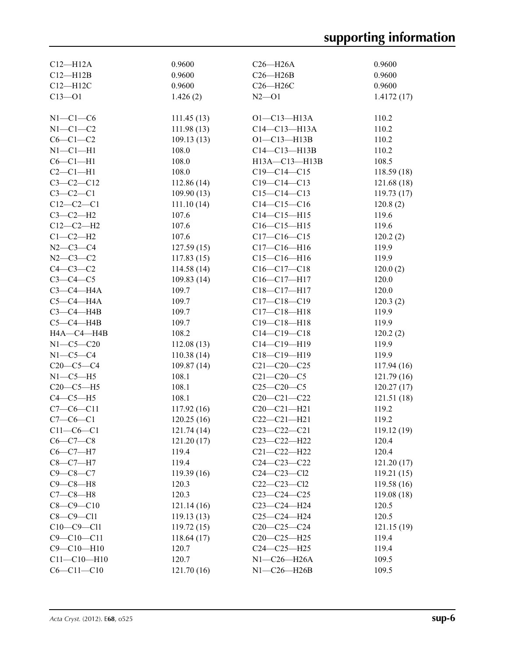| $C12 - H12A$      | 0.9600      | $C26 - H26A$      | 0.9600      |
|-------------------|-------------|-------------------|-------------|
| $C12 - H12B$      | 0.9600      | $C26 - H26B$      | 0.9600      |
| $C12 - H12C$      | 0.9600      | C26-H26C          | 0.9600      |
| $C13 - 01$        | 1.426(2)    | $N2 - 01$         | 1.4172(17)  |
|                   |             |                   |             |
| $N1-C1-C6$        | 111.45(13)  | $O1 - C13 - H13A$ | 110.2       |
| $N1-C1-C2$        | 111.98(13)  | $C14-C13-H13A$    | 110.2       |
| $C6-C1-C2$        | 109.13(13)  | $O1 - C13 - H13B$ | 110.2       |
| $N1-C1-H1$        | 108.0       | $C14-C13-H13B$    | 110.2       |
| $C6-C1-H1$        | 108.0       | H13A-C13-H13B     | 108.5       |
| $C2-C1-H1$        | 108.0       | $C19 - C14 - C15$ | 118.59 (18) |
| $C3 - C2 - C12$   | 112.86(14)  | $C19 - C14 - C13$ | 121.68 (18) |
| $C3-C2-C1$        | 109.90(13)  | $C15-C14-C13$     | 119.73(17)  |
| $C12-C2-C1$       | 111.10(14)  | $C14 - C15 - C16$ | 120.8(2)    |
| $C3-C2-H2$        | 107.6       | $C14 - C15 - H15$ | 119.6       |
| $C12-C2-H2$       | 107.6       | $C16-C15-H15$     | 119.6       |
| $C1-C2-H2$        | 107.6       | $C17 - C16 - C15$ | 120.2(2)    |
| $N2 - C3 - C4$    | 127.59(15)  | $C17 - C16 - H16$ | 119.9       |
| $N2 - C3 - C2$    | 117.83(15)  | $C15-C16-H16$     | 119.9       |
| $C4-C3-C2$        | 114.58(14)  | $C16-C17-C18$     | 120.0(2)    |
| $C3-C4-C5$        | 109.83(14)  | $C16-C17-H17$     | 120.0       |
| $C3-C4-H4A$       | 109.7       | $C18 - C17 - H17$ | 120.0       |
| $C5-C4-H4A$       | 109.7       | $C17 - C18 - C19$ | 120.3(2)    |
| $C3-C4-HAB$       | 109.7       | $C17 - C18 - H18$ | 119.9       |
| $C5-C4-H4B$       | 109.7       | $C19 - C18 - H18$ | 119.9       |
| H4A-C4-H4B        | 108.2       | $C14 - C19 - C18$ | 120.2(2)    |
| $N1 - C5 - C20$   | 112.08(13)  | $C14 - C19 - H19$ | 119.9       |
| $N1-C5-C4$        | 110.38(14)  | C18-C19-H19       | 119.9       |
| $C20-C5-C4$       | 109.87(14)  | $C21 - C20 - C25$ | 117.94(16)  |
| $N1-C5-H5$        | 108.1       | $C21 - C20 - C5$  | 121.79(16)  |
| $C20-C5-H5$       | 108.1       | $C25-C20-C5$      | 120.27(17)  |
| $C4-C5-H5$        | 108.1       | $C20 - C21 - C22$ | 121.51(18)  |
| $C7-C6-C11$       | 117.92(16)  | $C20 - C21 - H21$ | 119.2       |
| $C7-C6-C1$        | 120.25(16)  | $C22-C21-H21$     | 119.2       |
| $C11-C6-C1$       | 121.74(14)  | $C23 - C22 - C21$ | 119.12(19)  |
| $C6-C7-C8$        | 121.20 (17) | C23-C22-H22       | 120.4       |
| $C6-C7-H7$        | 119.4       | $C21 - C22 - H22$ | 120.4       |
| $C8-C7-H7$        | 119.4       | $C24 - C23 - C22$ |             |
|                   |             |                   | 121.20(17)  |
| $C9 - C8 - C7$    | 119.39(16)  | $C24-C23-C12$     | 119.21(15)  |
| $C9 - C8 - H8$    | 120.3       | $C22-C23-C12$     | 119.58 (16) |
| $C7-C8-H8$        | 120.3       | $C23-C24-C25$     | 119.08(18)  |
| $C8 - C9 - C10$   | 121.14(16)  | $C23-C24-H24$     | 120.5       |
| $C8-C9-C11$       | 119.13(13)  | $C25-C24-H24$     | 120.5       |
| $C10-C9-C11$      | 119.72(15)  | $C20-C25-C24$     | 121.15(19)  |
| $C9 - C10 - C11$  | 118.64(17)  | $C20-C25-H25$     | 119.4       |
| $C9 - C10 - H10$  | 120.7       | $C24 - C25 - H25$ | 119.4       |
| $C11 - C10 - H10$ | 120.7       | $N1-C26-H26A$     | 109.5       |
| $C6 - C11 - C10$  | 121.70(16)  | $N1-C26-H26B$     | 109.5       |